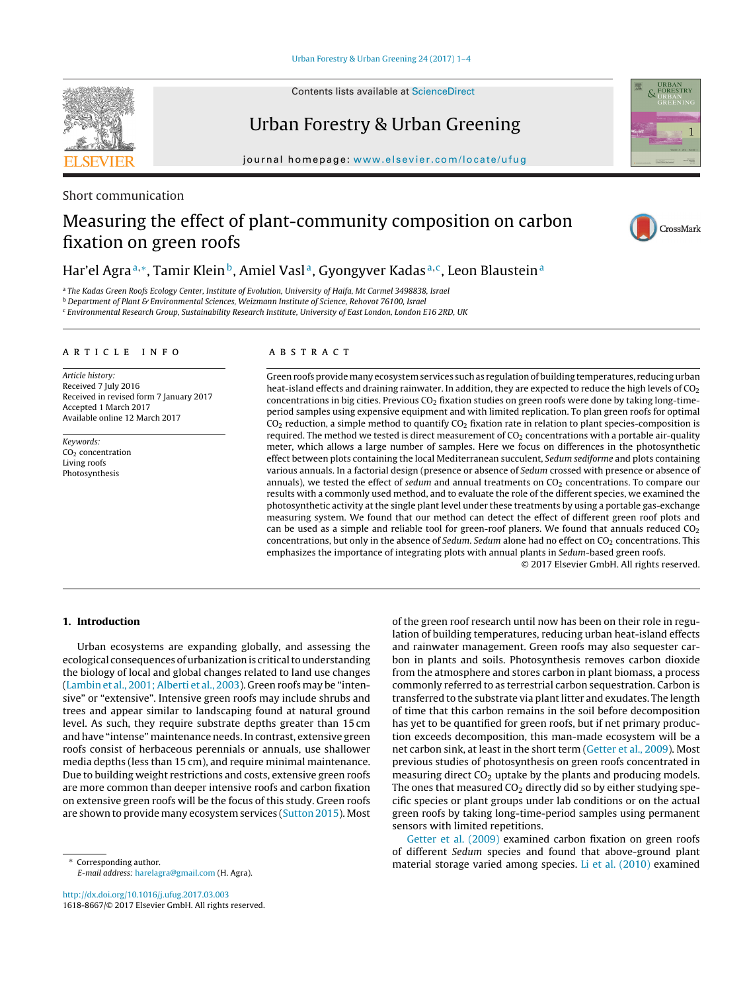Contents lists available at [ScienceDirect](http://www.sciencedirect.com/science/journal/16188667)



Urban Forestry & Urban Greening

journal homepage: [www.elsevier.com/locate/ufug](http://www.elsevier.com/locate/ufug)

# Short communication

# Measuring the effect of plant-community composition on carbon fixation on green roofs



URBAN<br>FORESTRY

# Har'el Agra<sup>a,∗</sup>, Tamir Klein<sup>b</sup>, Amiel Vasl<sup>a</sup>, Gyongyver Kadas<sup>a,c</sup>, Leon Blaustein<sup>a</sup>

a The Kadas Green Roofs Ecology Center, Institute of Evolution, University of Haifa, Mt Carmel 3498838, Israel

<sup>b</sup> Department of Plant & Environmental Sciences, Weizmann Institute of Science, Rehovot 76100, Israel

<sup>c</sup> Environmental Research Group, Sustainability Research Institute, University of East London, London E16 2RD, UK

#### A R T I C L E I N F O

Article history: Received 7 July 2016 Received in revised form 7 January 2017 Accepted 1 March 2017 Available online 12 March 2017

Keywords: CO<sub>2</sub> concentration Living roofs Photosynthesis

### A B S T R A C T

Green roofs provide many ecosystem services such as regulation of building temperatures, reducing urban heat-island effects and draining rainwater. In addition, they are expected to reduce the high levels of CO<sub>2</sub> concentrations in big cities. Previous  $CO<sub>2</sub>$  fixation studies on green roofs were done by taking long-timeperiod samples using expensive equipment and with limited replication. To plan green roofs for optimal  $CO<sub>2</sub>$  reduction, a simple method to quantify  $CO<sub>2</sub>$  fixation rate in relation to plant species-composition is required. The method we tested is direct measurement of  $CO<sub>2</sub>$  concentrations with a portable air-quality meter, which allows a large number of samples. Here we focus on differences in the photosynthetic effect between plots containing the local Mediterranean succulent, Sedum sediforme and plots containing various annuals. In a factorial design (presence or absence of Sedum crossed with presence or absence of annuals), we tested the effect of sedum and annual treatments on  $CO<sub>2</sub>$  concentrations. To compare our results with a commonly used method, and to evaluate the role of the different species, we examined the photosynthetic activity at the single plant level under these treatments by using a portable gas-exchange measuring system. We found that our method can detect the effect of different green roof plots and can be used as a simple and reliable tool for green-roof planers. We found that annuals reduced  $CO<sub>2</sub>$ concentrations, but only in the absence of Sedum. Sedum alone had no effect on  $CO<sub>2</sub>$  concentrations. This emphasizes the importance of integrating plots with annual plants in Sedum-based green roofs.

© 2017 Elsevier GmbH. All rights reserved.

#### **1. Introduction**

Urban ecosystems are expanding globally, and assessing the ecological consequences of urbanization is critical to understanding the biology of local and global changes related to land use changes ([Lambin](#page-3-0) et [al.,](#page-3-0) [2001;](#page-3-0) [Alberti](#page-3-0) et [al.,](#page-3-0) [2003\).](#page-3-0) Green roofs may be "intensive" or "extensive". Intensive green roofs may include shrubs and trees and appear similar to landscaping found at natural ground level. As such, they require substrate depths greater than 15 cm and have "intense" maintenance needs. In contrast, extensive green roofs consist of herbaceous perennials or annuals, use shallower media depths (less than 15 cm), and require minimal maintenance. Due to building weight restrictions and costs, extensive green roofs are more common than deeper intensive roofs and carbon fixation on extensive green roofs will be the focus of this study. Green roofs are shown to provide many ecosystem services ([Sutton](#page-3-0) [2015\).](#page-3-0) Most

Corresponding author. E-mail address: [harelagra@gmail.com](mailto:harelagra@gmail.com) (H. Agra).

[http://dx.doi.org/10.1016/j.ufug.2017.03.003](dx.doi.org/10.1016/j.ufug.2017.03.003) 1618-8667/© 2017 Elsevier GmbH. All rights reserved. of the green roof research until now has been on their role in regulation of building temperatures, reducing urban heat-island effects and rainwater management. Green roofs may also sequester carbon in plants and soils. Photosynthesis removes carbon dioxide from the atmosphere and stores carbon in plant biomass, a process commonly referred to as terrestrial carbon sequestration. Carbon is transferred to the substrate via plant litter and exudates. The length of time that this carbon remains in the soil before decomposition has yet to be quantified for green roofs, but if net primary production exceeds decomposition, this man-made ecosystem will be a net carbon sink, at least in the short term [\(Getter](#page-3-0) et [al.,](#page-3-0) [2009\).](#page-3-0) Most previous studies of photosynthesis on green roofs concentrated in measuring direct  $CO<sub>2</sub>$  uptake by the plants and producing models. The ones that measured  $CO<sub>2</sub>$  directly did so by either studying specific species or plant groups under lab conditions or on the actual green roofs by taking long-time-period samples using permanent sensors with limited repetitions.

[Getter](#page-3-0) et [al.](#page-3-0) [\(2009\)](#page-3-0) examined carbon fixation on green roofs of different Sedum species and found that above-ground plant material storage varied among species. [Li](#page-3-0) et [al.](#page-3-0) [\(2010\)](#page-3-0) examined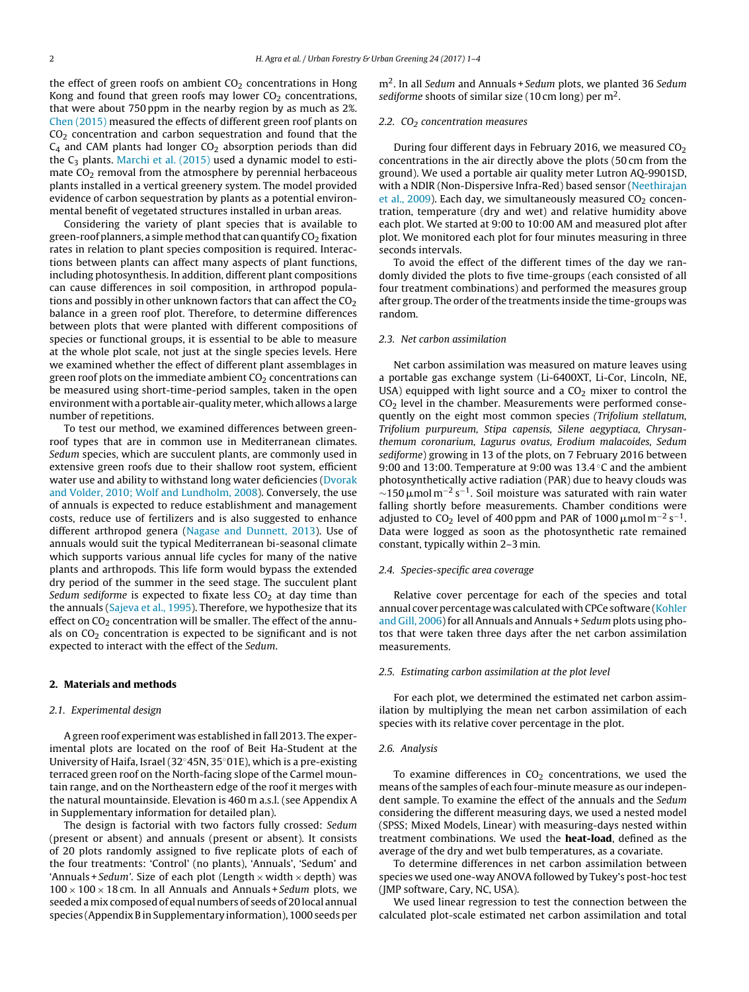the effect of green roofs on ambient  $CO<sub>2</sub>$  concentrations in Hong Kong and found that green roofs may lower  $CO<sub>2</sub>$  concentrations, that were about 750 ppm in the nearby region by as much as 2%. [Chen](#page-3-0) [\(2015\)](#page-3-0) measured the effects of different green roof plants on CO<sub>2</sub> concentration and carbon sequestration and found that the  $C_4$  and CAM plants had longer  $CO_2$  absorption periods than did the  $C_3$  plants. [Marchi](#page-3-0) et [al.](#page-3-0) [\(2015\)](#page-3-0) used a dynamic model to estimate  $CO<sub>2</sub>$  removal from the atmosphere by perennial herbaceous plants installed in a vertical greenery system. The model provided evidence of carbon sequestration by plants as a potential environmental benefit of vegetated structures installed in urban areas.

Considering the variety of plant species that is available to green-roof planners, a simple method that can quantify  $CO<sub>2</sub>$  fixation rates in relation to plant species composition is required. Interactions between plants can affect many aspects of plant functions, including photosynthesis. In addition, different plant compositions can cause differences in soil composition, in arthropod populations and possibly in other unknown factors that can affect the  $CO<sub>2</sub>$ balance in a green roof plot. Therefore, to determine differences between plots that were planted with different compositions of species or functional groups, it is essential to be able to measure at the whole plot scale, not just at the single species levels. Here we examined whether the effect of different plant assemblages in green roof plots on the immediate ambient  $CO<sub>2</sub>$  concentrations can be measured using short-time-period samples, taken in the open environment with a portable air-quality meter, which allows a large number of repetitions.

To test our method, we examined differences between greenroof types that are in common use in Mediterranean climates. Sedum species, which are succulent plants, are commonly used in extensive green roofs due to their shallow root system, efficient water use and ability to withstand long water deficiencies [\(Dvorak](#page-3-0) [and](#page-3-0) [Volder,](#page-3-0) [2010;](#page-3-0) [Wolf](#page-3-0) [and](#page-3-0) [Lundholm,](#page-3-0) [2008\).](#page-3-0) Conversely, the use of annuals is expected to reduce establishment and management costs, reduce use of fertilizers and is also suggested to enhance different arthropod genera ([Nagase](#page-3-0) [and](#page-3-0) [Dunnett,](#page-3-0) [2013\).](#page-3-0) Use of annuals would suit the typical Mediterranean bi-seasonal climate which supports various annual life cycles for many of the native plants and arthropods. This life form would bypass the extended dry period of the summer in the seed stage. The succulent plant Sedum sediforme is expected to fixate less  $CO<sub>2</sub>$  at day time than the annuals ([Sajeva](#page-3-0) et [al.,](#page-3-0) [1995\).](#page-3-0) Therefore, we hypothesize that its effect on  $CO<sub>2</sub>$  concentration will be smaller. The effect of the annuals on  $CO<sub>2</sub>$  concentration is expected to be significant and is not expected to interact with the effect of the Sedum.

# **2. Materials and methods**

#### 2.1. Experimental design

A green roof experiment was established in fall 2013. The experimental plots are located on the roof of Beit Ha-Student at the University of Haifa, Israel (32◦45N, 35◦01E), which is a pre-existing terraced green roof on the North-facing slope of the Carmel mountain range, and on the Northeastern edge of the roof it merges with the natural mountainside. Elevation is 460 m a.s.l. (see Appendix A in Supplementary information for detailed plan).

The design is factorial with two factors fully crossed: Sedum (present or absent) and annuals (present or absent). It consists of 20 plots randomly assigned to five replicate plots of each of the four treatments: 'Control' (no plants), 'Annuals', 'Sedum' and 'Annuals + Sedum'. Size of each plot (Length  $\times$  width  $\times$  depth) was  $100 \times 100 \times 18$  cm. In all Annuals and Annuals + Sedum plots, we seeded a mix composed of equal numbers of seeds of 20 local annual species (Appendix B in Supplementary information), 1000 seeds per

 $m<sup>2</sup>$ . In all Sedum and Annuals + Sedum plots, we planted 36 Sedum sediforme shoots of similar size (10 cm long) per  $m<sup>2</sup>$ .

#### 2.2.  $CO<sub>2</sub> concentration measures$

During four different days in February 2016, we measured  $CO<sub>2</sub>$ concentrations in the air directly above the plots (50 cm from the ground). We used a portable air quality meter Lutron AQ-9901SD, with a NDIR (Non-Dispersive Infra-Red) based sensor ([Neethirajan](#page-3-0) et [al.,](#page-3-0)  $2009$ ). Each day, we simultaneously measured  $CO<sub>2</sub>$  concentration, temperature (dry and wet) and relative humidity above each plot. We started at 9:00 to 10:00 AM and measured plot after plot. We monitored each plot for four minutes measuring in three seconds intervals.

To avoid the effect of the different times of the day we randomly divided the plots to five time-groups (each consisted of all four treatment combinations) and performed the measures group after group. The order of the treatments inside the time-groups was random.

#### 2.3. Net carbon assimilation

Net carbon assimilation was measured on mature leaves using a portable gas exchange system (Li-6400XT, Li-Cor, Lincoln, NE, USA) equipped with light source and a  $CO<sub>2</sub>$  mixer to control the  $CO<sub>2</sub>$  level in the chamber. Measurements were performed consequently on the eight most common species (Trifolium stellatum, Trifolium purpureum, Stipa capensis, Silene aegyptiaca, Chrysanthemum coronarium, Lagurus ovatus, Erodium malacoides, Sedum sediforme) growing in 13 of the plots, on 7 February 2016 between 9:00 and 13:00. Temperature at 9:00 was 13.4 ◦C and the ambient photosynthetically active radiation (PAR) due to heavy clouds was  $\sim$ 150  $\mu$ mol m<sup>-2</sup> s<sup>-1</sup>. Soil moisture was saturated with rain water falling shortly before measurements. Chamber conditions were adjusted to CO<sub>2</sub> level of 400 ppm and PAR of 1000  $\mu$ mol m<sup>-2</sup> s<sup>-1</sup>. Data were logged as soon as the photosynthetic rate remained constant, typically within 2–3 min.

#### 2.4. Species-specific area coverage

Relative cover percentage for each of the species and total annual cover percentage was calculated with CPCe software ([Kohler](#page-3-0) [and](#page-3-0) [Gill,](#page-3-0) 2006) for all Annuals and Annuals + Sedum plots using photos that were taken three days after the net carbon assimilation measurements.

#### 2.5. Estimating carbon assimilation at the plot level

For each plot, we determined the estimated net carbon assimilation by multiplying the mean net carbon assimilation of each species with its relative cover percentage in the plot.

#### 2.6. Analysis

To examine differences in  $CO<sub>2</sub>$  concentrations, we used the means of the samples of each four-minute measure as our independent sample. To examine the effect of the annuals and the Sedum considering the different measuring days, we used a nested model (SPSS; Mixed Models, Linear) with measuring-days nested within treatment combinations. We used the **heat-load**, defined as the average of the dry and wet bulb temperatures, as a covariate.

To determine differences in net carbon assimilation between species we used one-way ANOVA followed by Tukey's post-hoc test (JMP software, Cary, NC, USA).

We used linear regression to test the connection between the calculated plot-scale estimated net carbon assimilation and total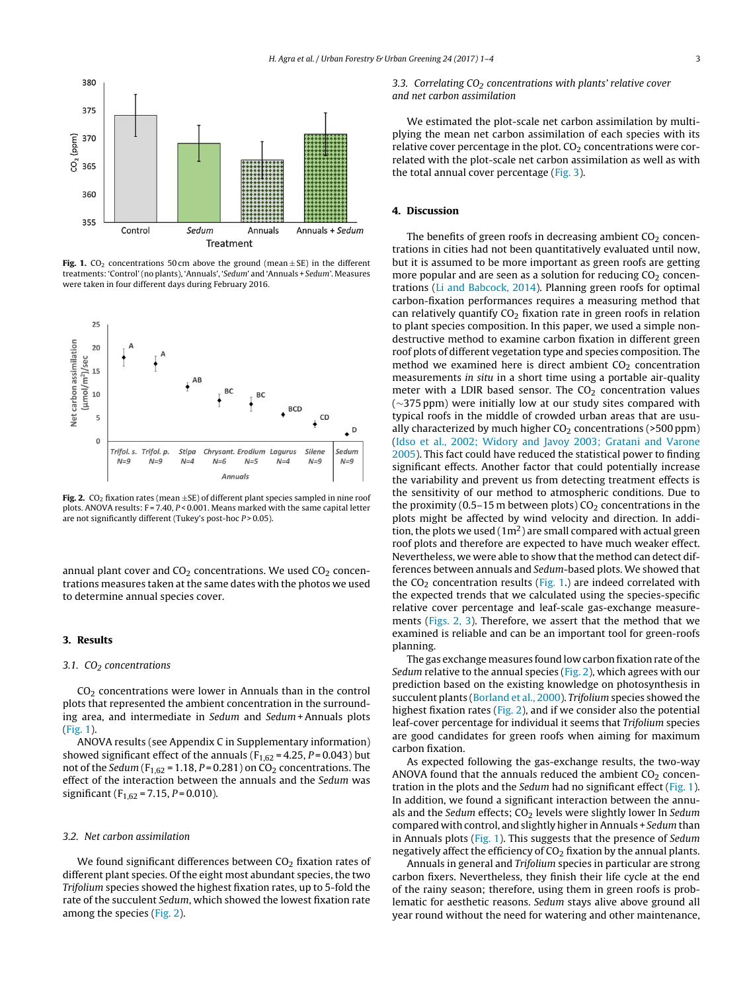

**Fig. 1.** CO<sub>2</sub> concentrations 50 cm above the ground (mean  $\pm$  SE) in the different treatments:'Control'(no plants), 'Annuals', 'Sedum' and 'Annuals + Sedum'. Measures were taken in four different days during February 2016.



**Fig. 2.** CO<sub>2</sub> fixation rates (mean  $\pm$ SE) of different plant species sampled in nine roof plots. ANOVA results:  $F = 7.40$ ,  $P < 0.001$ . Means marked with the same capital letter are not significantly different (Tukey's post-hoc  $P > 0.05$ ).

annual plant cover and  $CO<sub>2</sub>$  concentrations. We used  $CO<sub>2</sub>$  concentrations measures taken at the same dates with the photos we used to determine annual species cover.

#### **3. Results**

#### 3.1.  $CO<sub>2</sub>$  concentrations

 $CO<sub>2</sub>$  concentrations were lower in Annuals than in the control plots that represented the ambient concentration in the surrounding area, and intermediate in Sedum and Sedum +Annuals plots (Fig. 1).

ANOVA results (see Appendix C in Supplementary information) showed significant effect of the annuals ( $F_{1,62}$  = 4.25,  $P$  = 0.043) but not of the Sedum ( $F_{1,62}$  = 1.18, P = 0.281) on CO<sub>2</sub> concentrations. The effect of the interaction between the annuals and the Sedum was significant ( $F_{1,62}$  = 7.15, P = 0.010).

# 3.2. Net carbon assimilation

We found significant differences between  $CO<sub>2</sub>$  fixation rates of different plant species. Of the eight most abundant species, the two Trifolium species showed the highest fixation rates, up to 5-fold the rate of the succulent Sedum, which showed the lowest fixation rate among the species (Fig. 2).

# 3.3. Correlating  $CO<sub>2</sub>$  concentrations with plants' relative cover and net carbon assimilation

We estimated the plot-scale net carbon assimilation by multiplying the mean net carbon assimilation of each species with its relative cover percentage in the plot.  $CO<sub>2</sub>$  concentrations were correlated with the plot-scale net carbon assimilation as well as with the total annual cover percentage [\(Fig.](#page-3-0) 3).

#### **4. Discussion**

The benefits of green roofs in decreasing ambient  $CO<sub>2</sub>$  concentrations in cities had not been quantitatively evaluated until now, but it is assumed to be more important as green roofs are getting more popular and are seen as a solution for reducing  $CO<sub>2</sub>$  concentrations ([Li](#page-3-0) [and](#page-3-0) [Babcock,](#page-3-0) [2014\).](#page-3-0) Planning green roofs for optimal carbon-fixation performances requires a measuring method that can relatively quantify  $CO<sub>2</sub>$  fixation rate in green roofs in relation to plant species composition. In this paper, we used a simple nondestructive method to examine carbon fixation in different green roof plots of different vegetation type and species composition. The method we examined here is direct ambient  $CO<sub>2</sub>$  concentration measurements in situ in a short time using a portable air-quality meter with a LDIR based sensor. The  $CO<sub>2</sub>$  concentration values (∼375 ppm) were initially low at our study sites compared with typical roofs in the middle of crowded urban areas that are usually characterized by much higher  $CO<sub>2</sub>$  concentrations (>500 ppm) [\(Idso](#page-3-0) et [al.,](#page-3-0) [2002;](#page-3-0) [Widory](#page-3-0) [and](#page-3-0) [Javoy](#page-3-0) [2003;](#page-3-0) [Gratani](#page-3-0) [and](#page-3-0) [Varone](#page-3-0) [2005\).](#page-3-0) This fact could have reduced the statistical power to finding significant effects. Another factor that could potentially increase the variability and prevent us from detecting treatment effects is the sensitivity of our method to atmospheric conditions. Due to the proximity (0.5–15 m between plots)  $CO<sub>2</sub>$  concentrations in the plots might be affected by wind velocity and direction. In addition, the plots we used  $(1m^2)$  are small compared with actual green roof plots and therefore are expected to have much weaker effect. Nevertheless, we were able to show that the method can detect differences between annuals and Sedum-based plots. We showed that the  $CO<sub>2</sub>$  concentration results (Fig. 1.) are indeed correlated with the expected trends that we calculated using the species-specific relative cover percentage and leaf-scale gas-exchange measurements (Figs. 2, 3). Therefore, we assert that the method that we examined is reliable and can be an important tool for green-roofs planning.

The gas exchange measures found low carbon fixation rate of the Sedum relative to the annual species (Fig. 2), which agrees with our prediction based on the existing knowledge on photosynthesis in succulent plants [\(Borland](#page-3-0) et [al.,](#page-3-0) [2000\).](#page-3-0) Trifolium species showed the highest fixation rates (Fig. 2), and if we consider also the potential leaf-cover percentage for individual it seems that Trifolium species are good candidates for green roofs when aiming for maximum carbon fixation.

As expected following the gas-exchange results, the two-way ANOVA found that the annuals reduced the ambient  $CO<sub>2</sub>$  concentration in the plots and the Sedum had no significant effect (Fig. 1). In addition, we found a significant interaction between the annuals and the Sedum effects;  $CO<sub>2</sub>$  levels were slightly lower In Sedum compared with control, and slightly higher in Annuals + Sedum than in Annuals plots (Fig. 1). This suggests that the presence of Sedum negatively affect the efficiency of  $CO<sub>2</sub>$  fixation by the annual plants.

Annuals in general and Trifolium species in particular are strong carbon fixers. Nevertheless, they finish their life cycle at the end of the rainy season; therefore, using them in green roofs is problematic for aesthetic reasons. Sedum stays alive above ground all year round without the need for watering and other maintenance,